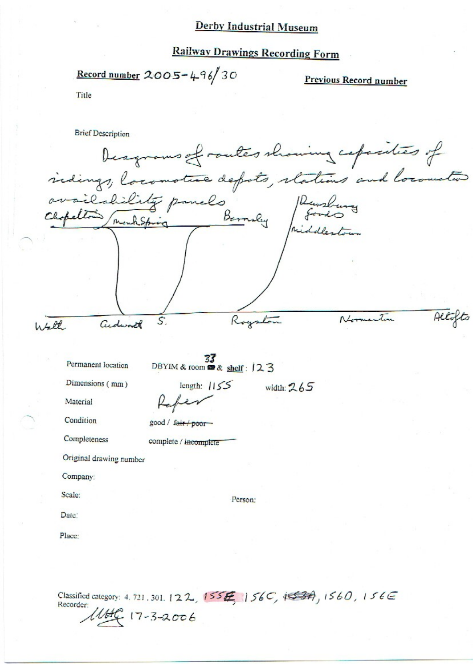# **Railway Drawings Recording Form**

Record number  $2005 - 496/30$ 

Previous Record number

Title

**Brief Description** 

|        |                                 | Desgrams of routes showing capacities of |          |              |             |         |
|--------|---------------------------------|------------------------------------------|----------|--------------|-------------|---------|
|        | indings, locomotive depots, sta |                                          |          |              | ions and to |         |
| $\sim$ | vailabil                        | of ponels                                |          |              | Develong    |         |
|        |                                 |                                          | Barnsley |              |             |         |
|        |                                 |                                          |          |              |             |         |
|        |                                 |                                          |          |              |             |         |
| Wath   | ardworth                        | S,                                       | Koyston  |              |             | Altofts |
|        |                                 | 33                                       |          |              |             |         |
|        | Permanent location              | DBYIM & room $\otimes$ shelf: $123$      |          |              |             |         |
|        | Dimensions (mm)                 | length: $1155$                           |          | width: $265$ |             |         |
|        | Material                        |                                          |          |              |             |         |
|        | Condition                       | good / fair / poor-                      |          |              |             |         |
|        | Completeness                    | complete / incomplete                    |          |              |             |         |
|        | Original drawing number         |                                          |          |              |             |         |
|        | Company:                        |                                          |          |              |             |         |
|        | Scale:                          |                                          | Person:  |              |             |         |
|        | Date:                           |                                          |          |              |             |         |
|        | Place:                          |                                          |          |              |             |         |
|        |                                 |                                          |          |              |             |         |
|        |                                 |                                          |          |              |             |         |

Classified category: 4, 721, 301, 122, 155 £ 156C, 453A, 1560, 156E  $1146(17 - 3 - 2006)$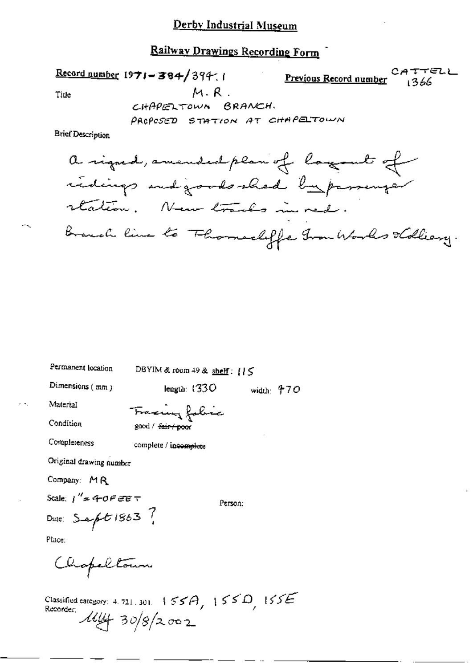# Railway Drawings Recording Form

Record number 1971-384/394.1 CATTELL Previous Record number 1366  $M. R.$ CHAPELTOWN BRANCH. PROPOSED STATION AT CHAPELTOWN

Tide

**Brief Description** 

width:  $470$ 

Permanent location DBYIM & room 49 & shelf:  $1$ | S

Material

in.

Condition

Completeness

Dimensions (mm)

good / fair / poor

complete / incomplete

Fraccing falic

length:  $(330)$ 

Original drawing number

Company: MR

Scale:  $1'' = 40$  F EE T

Person:

Dute:  $S = \frac{1}{2} E 1863$ 

Place:

Chapeltour

Classified category: 4, 721, 301,  $155A$ ,  $155D$ ,  $155E$ Recorder:  $114/30/8/2002$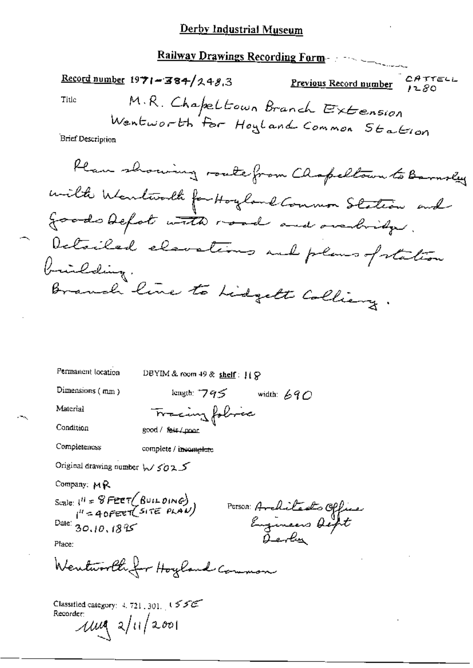Railway Drawings Recording Form-

Record number  $1971 - 384 / 248.3$ Previous Record number M.R. Chapeltown Branch Extension Title Wentworth For Hoyland Common Station **Brief Description** Plan showing route from Chapellown to Barnsley with Wentworth for Hoyland Common Station and goods defot with road and overbridge. Detailed elevations and plans fortation brinkding. Branch line to hidgett Colliany. Permanent location DBYIM & room 49 & shelf:  $\iota$  |  $\iota$ Dimensions (mm) length:  $795$  width: 690 Material Tracing folme Condition good / fair / noor Completeness complete / incomplete Original drawing number  $w$  5025 Company: MR Scale:  $1^{H} = 8$ FEET (BUILDING)<br> $1^{H} = 40$ FEET (SITE PLAN) PETSON: Architects Office Engineers Out Date:  $30.10.1895$ Place: Wentworth for Hoyland Common Classified category:  $4.721,301, 155$ Recorder:  $\mu$ uq 2/11/2001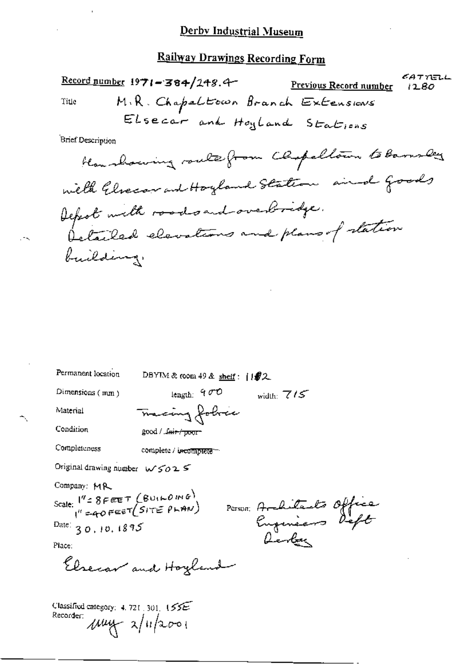| Title                    | $\frac{\text{Record number}}{\text{1971} - 384}$ /248.4-<br>M.R. Chapaltown Branch Extensions |              | Previous Record number | メタナカマレ<br>i 2.80. |
|--------------------------|-----------------------------------------------------------------------------------------------|--------------|------------------------|-------------------|
|                          | Elsecar and Hoyland Stations                                                                  |              |                        |                   |
| <b>Brief Description</b> |                                                                                               |              |                        |                   |
|                          | How showing route from Chapelloun to Barnsley                                                 |              |                        |                   |
|                          | with Eleccar and Hoyland Station aired goods                                                  |              |                        |                   |
|                          | Depot with roads and overbridge.                                                              |              |                        |                   |
|                          | Detailed elevations and plans of station                                                      |              |                        |                   |
| building.                |                                                                                               |              |                        |                   |
|                          |                                                                                               |              |                        |                   |
|                          |                                                                                               |              |                        |                   |
|                          |                                                                                               |              |                        |                   |
|                          |                                                                                               |              |                        |                   |
|                          |                                                                                               |              |                        |                   |
| Permanent location       | DBYIM & room 49 & sheff : $182$                                                               |              |                        |                   |
| Dimensions (mm)          | length: $400$                                                                                 | width: $7/5$ |                        |                   |
| Material                 | Tracing fobres                                                                                |              |                        |                   |
| Condition                | good / J <del>air / poor -</del>                                                              |              |                        |                   |
| Completeness             | complete / i <del>scomplete</del> –                                                           |              |                        |                   |

Original drawing number  $w$ 5025

Company: MR

Scale:  $1^{\prime\prime}$  = 8 FEET (BUILDING)<br> $1^{\prime\prime}$  = 40 FEET (SITE PLAN) Date:  $30, 10, 1895$ 

PETSON: Architects Office<br>Engenieurs Deft<br>Oerber

Place:

Elsecar and Hoyland

Classified category: 4, 721, 301, 155E Recorder:  $\mu$ uy  $\lambda/\mu$ 2001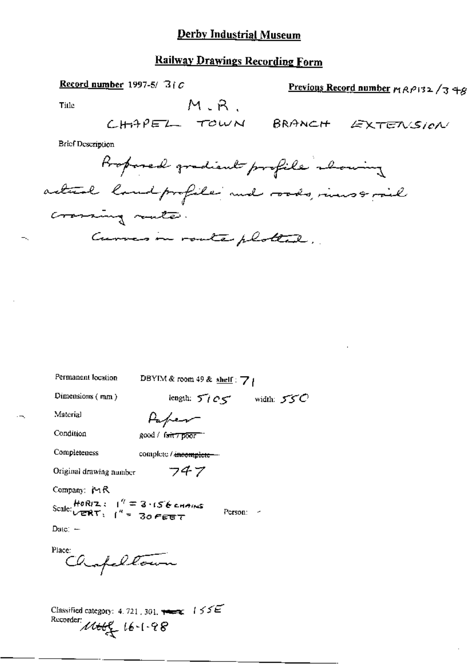# **Railway Drawings Recording Form**

Record number 1997-5/ $30C$ Previous Record number  $MRP$ 132/348  $M$ ,  $R$ . Title CHAPEL TOWN BRANCH EXTENSION **Brief Description** Proposed gradient profile abouning actual landprofiles and roads, rivers & rail crossing mate. Curves in route plotted

Permanent location

DBYIM & room 49 & shelf :  $\mathbb{Z}$  {

Dimensions (mm)

length:  $5105$  width:  $550$ 

Person: -

Material

Paper

good / fair7 poor

Condition

Completeness

complete / incomplete-

フチア

Original drawing number

Company: PiR

Scale:  $\frac{H_0R_I}{VERT}$ :  $\frac{1}{I} = 3.156$  chains

 $Data =$ 

Place: hafellown

Classified category: 4, 721, 301,  $\leftarrow$   $\epsilon$  155E Recorder:  $M \rightarrow \text{16-1-98}$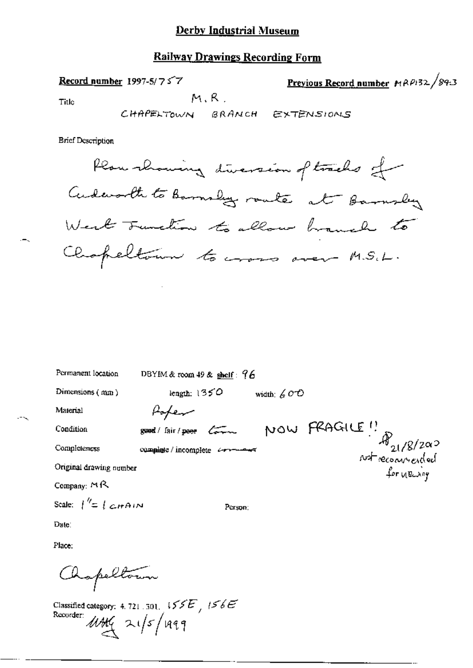### **Railway Drawings Recording Form**

Previous Record number  $P(P/32/843)$ Record number 1997-5/7 $\leq$ 7  $M, R$ . Title CHAPELTOWN BRANCH EXTENSIONS

**Brief Description** 

Plan showing diversion of tracks of Cudworth to Barnsly route at Barnsly West Tunction to allow branch to Chapeltown to cross over M.S.L.

| Permanent location                                                                                                                                                                                                                                                                                                                                                                          | DBYIM & room 49 & shelf: $96$ |              |                |  |
|---------------------------------------------------------------------------------------------------------------------------------------------------------------------------------------------------------------------------------------------------------------------------------------------------------------------------------------------------------------------------------------------|-------------------------------|--------------|----------------|--|
| Dimensions (mm)                                                                                                                                                                                                                                                                                                                                                                             | length: $1350$                | width: $600$ |                |  |
| Material                                                                                                                                                                                                                                                                                                                                                                                    |                               |              |                |  |
| Condition                                                                                                                                                                                                                                                                                                                                                                                   | geed / fair / peer            |              | NOW FRAGILE!   |  |
| Completeness                                                                                                                                                                                                                                                                                                                                                                                | complete / incomplete         |              | $A_{21/8/200}$ |  |
| Original drawing number<br>for yourself                                                                                                                                                                                                                                                                                                                                                     |                               |              |                |  |
| Company: $M \hat{R}$                                                                                                                                                                                                                                                                                                                                                                        |                               |              |                |  |
| Scale: $\int_{-\infty}^{\infty}$ $\int_{-\infty}^{\infty}$ $\int_{-\infty}^{\infty}$ $\int_{-\infty}^{\infty}$ $\int_{-\infty}^{\infty}$ $\int_{-\infty}^{\infty}$ $\int_{-\infty}^{\infty}$ $\int_{-\infty}^{\infty}$ $\int_{-\infty}^{\infty}$ $\int_{-\infty}^{\infty}$ $\int_{-\infty}^{\infty}$ $\int_{-\infty}^{\infty}$ $\int_{-\infty}^{\infty}$ $\int_{-\infty}^{\infty}$ $\int_{$ | Person:                       |              |                |  |

Person;

Date:

Place:

Chapeltown

Classified category: 4, 721, 301,  $155E$ ,  $156E$ Recorder und 21/5/1999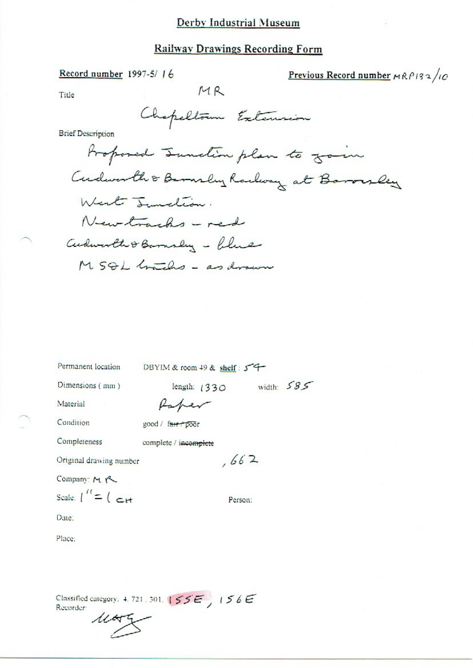#### **Railway Drawings Recording Form**

#### Record number 1997-5/16

Previous Record number  $MRP$ 132/10

Title

Chapelton Extension

MR

**Brief Description** 

Permanent location

### DBYIM & room 49 & shelf: 54

 $.662$ 

Person:

Dimensions (mm)

length:  $(330 \text{ width: } 585)$ Paper

Material

Condition

Completeness

good / fair poor

complete / incomplete

Original drawing number

Company: MR

Scale:  $\int$   $\frac{1}{1}$  =  $\int$  = H

Date:

Place:

Classified category: 4.721.301. 155E, 156E Recorder:

 $\frac{1}{4}$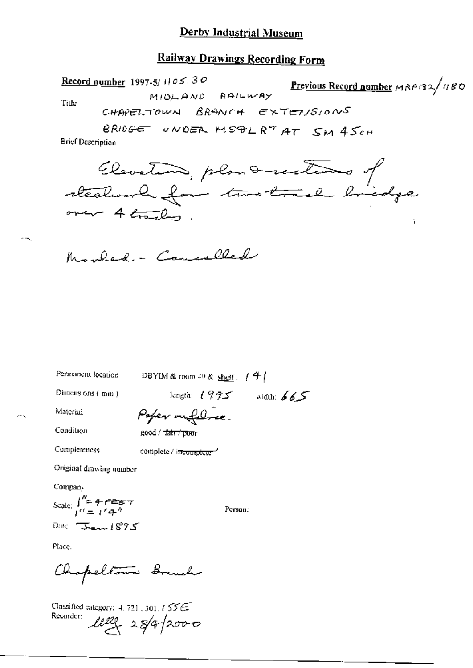### **Railway Drawings Recording Form**

Record number 1997-5/ $1005.30$ Previous Record number MRP132/1180 MIDLAND RAILWAY Title CHAPELTOWN BRANCH EXTENSIONS

BRIDGE UNDER MSQLR" AT SM 45CH

**Brief Description** 

Permanent location

DBYIM & room 49 & shelf  $(4)$ 

Dimensions (mm)

length:  $1995$  width:  $665$ 

Material Condition

 $\mathbf{r}$ 

Paper mufaline good / fair / poor

Completeness

complete / incomplete /

Original drawing number

Company:

Scale:  $\int_{1}^{\prime\prime} = f \in \mathbb{Z}$  $D_{0}$   $\sqrt{3}$  and  $1895$ 

Person:

Place:

Chapeltons Branch

Classified category:  $4.721$ , 301,  $t \leq t \leq 1$ Recorder letter 28/9/2000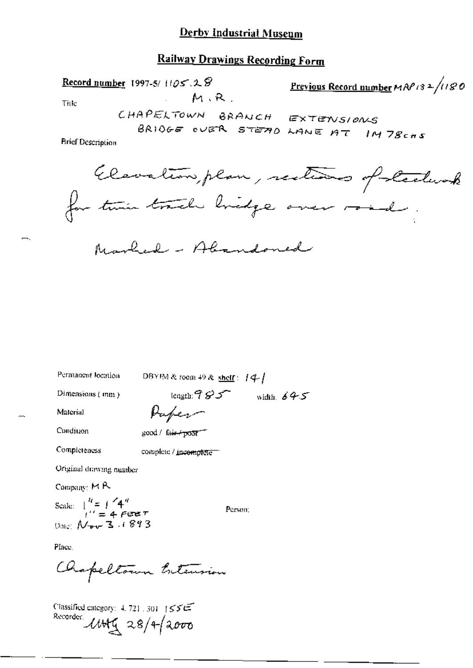### **Railway Drawings Recording Form**

Record number 1997-5/ $1105.28$ Previous Record number  $MAP/32/1180$  $M, R$ . Title CHAPELTOWN BRANCH EXTENSIONS BRIDGE OVER STEAD LANE AT IM 78CHS **Brief Description** Elevation, plan, restores of technok for time track lindge over road. Marked - Alandoned

Permanent location

DBYIM & room 49 & shelf:  $14$ 

Dimensions (mm)

 $\text{length: } \mathcal{B} \mathcal{S}$  width  $\mathcal{B} \mathcal{A}$ Paper

Condition

Completeness

Material

good / fair / poor

complete / incomplete =

Original duwing number

Company:  $M R$ 

Scale:  $\int_{t}^{t_1} = \int_{t}^{t_2} 4^{t_1}$ <br> $t'' = 4$   $t^2$ Date: Noor 3, 1893

Person;

Place.

Chapeltown Entension

Classified category:  $4.721.301$  |  $55E$ Recorder *1145 28/4/2000*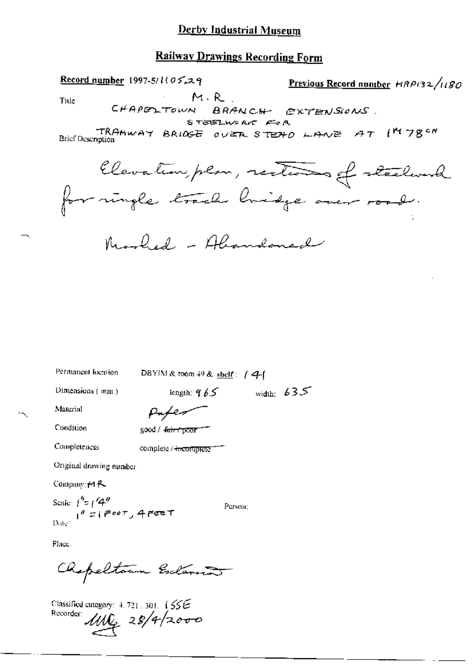### **Railway Drawings Recording Form**

Record number 1997-5/ $105,29$ Previous Record number HRPI32/1180 M.R Title CHAPELTOWN BRANCH EXTENSIONS. STEELING AVE FOR TRAMWAY BRICGE OVER STEAD LANE AT  $1^{M}$  78<sup>cm</sup>

Clevation, plus, rections of steelwork for ringle track lividge over road.

Morled - Alandoned

Permanent location

DBYIM & room  $+9$  & shelf:  $\neq 4$ -

Dimensions (mm)

length:  $965$  width: 635

Material Condition

good / fair / poor

Completeness

complete / incomplete

Paper

Original drawing number

Company: MR

Scale:  $\int_{-\pi/4}^{\pi/2} f \frac{4\pi}{\pi}$ <br>Dale:  $\int_{-\pi/4}^{\pi/4} f \frac{4\pi}{\pi} \int_{-\pi/4}^{\pi/4} f \frac{4\pi}{\pi} \frac{4\pi}{\pi}$ 

Person:

Place.

Chapeltown Extence

Classified category:  $4.721$ , 301,  $1.556$ Recorder  $\widehat{U}$  28/4/2000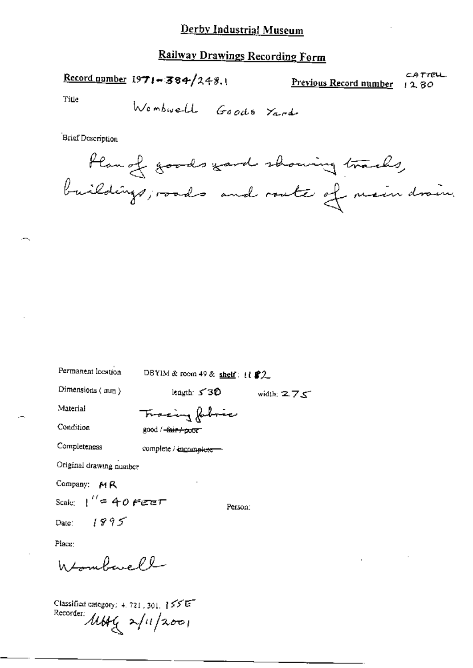### Railway Drawings Recording Form

Record number  $1971 - 384/248.1$ 

CATTELL Previous Record number 1280

Title

Wombwell Goods Yard

**Brief Description** 

Plan of goods gard showing tracks, buildings; roads and route of main drain.

| Permanent location                | DBYIM & room 49 & shelf: 11 \$2 |              |  |  |  |
|-----------------------------------|---------------------------------|--------------|--|--|--|
| Dimensions $(mn)$                 | length: $530$                   | width: $275$ |  |  |  |
| Material                          | Tracing febric                  |              |  |  |  |
| Condition                         | good / <del>fair / poor</del>   |              |  |  |  |
| Completeness                      | complete / incomplete           |              |  |  |  |
| Original drawing number           |                                 |              |  |  |  |
| Company: MR                       |                                 |              |  |  |  |
| Scale: $1'' = 40$ FEET<br>Person: |                                 |              |  |  |  |
| Date: $1995$                      |                                 |              |  |  |  |
| Place:                            |                                 |              |  |  |  |
| htombarell                        |                                 |              |  |  |  |

Classified category: 4, 721, 301, 155 E Recorder 11Hg 2/11/2001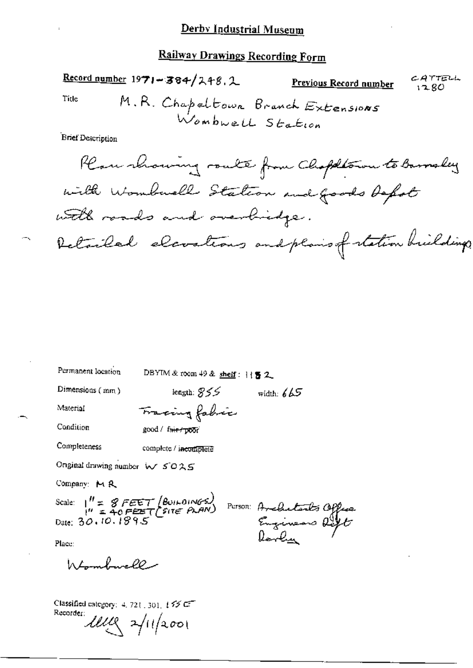Record number 19フレーヨ84/ス48.2 CATTELL Previous Record number  $12.80$ M.R. Chapeltown Branch Extensions<br>Wombwell Station Title **Brief Description**  $\sim$ 

| Permanent location | DBYIM & room $49$ & shelf: $1152$ |       |
|--------------------|-----------------------------------|-------|
| Dimensions $(mm)$  | leagth: $955$                     | widtl |

leagth:  $855$ width:  $665$ 

Material

Condition

Fracing fabric good / faie / poor

Completeness

complete / incomplete

Onginal drawing number W 5025

Company: MR

Scale:  $1'' = 8$  FEET (BUILDINGS)<br> $1'' = 40$  FEET (SITE PLAN)<br>Date: 30.10.1895

PUTSOR: Architects Office<br>Engineers Rights<br>Revolu

Place:

Wtomburell-

Classified category: 4, 721, 301, 155 C Recorder: lever 2/11/2001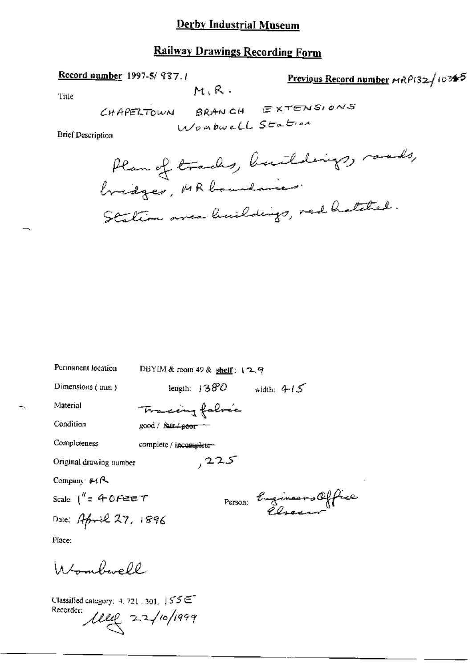# **Railway Drawings Recording Form**

### Record number 1997-5/ 937.1

Previous Record number MRP132/10345

Title

 $M, R$ .

**Brief Description** 

| Permanent location        | DBYIM & room 49 & shelf: いてら     |                         |
|---------------------------|----------------------------------|-------------------------|
| Dimensions (mm)           | length: $1380$                   | width: $415$            |
| Material                  | Traceing fabric                  |                         |
| Condition                 | good / fair <del> / poor -</del> |                         |
| Compluteness              | complete / incomplete-           |                         |
| Original drawing number   | ,22.5                            |                         |
| Company $\mu \mathcal{R}$ |                                  |                         |
| Scale: $1'' = 40$ FEET    |                                  | Person Engineers Office |
| Date: April 27, 1896      |                                  |                         |
| Place:                    |                                  |                         |

Wombwell

Classified category: 4, 721, 301,  $\frac{1}{5}$  5  $5$ Recorder: 1119 22/10/1999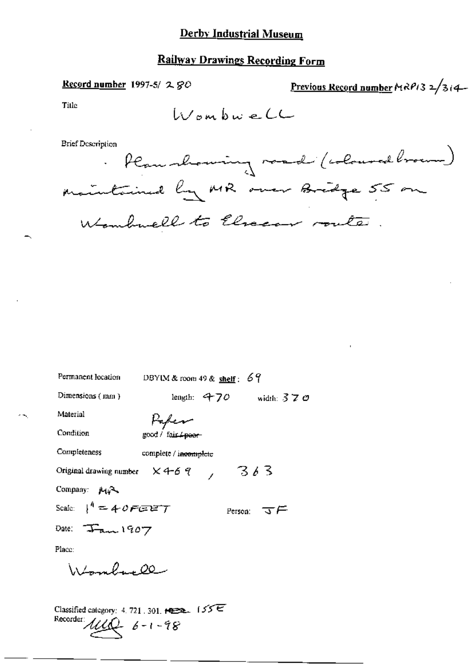Previous Record number MRP13 2/314-Record number 1997-5/ 2 80 Title  $W$ ombwe  $CC$ **Brief Description** Plan showing raad ( whouse brown) mointained by MR over Bridge 55 on Wombacll to Eliscor route Permanent location DBYIM & room 49 & shelf:  $69$ Dimensions (mm) length:  $470$  width:  $370$ Material Paper Condition good / fair 4 peor Completeness complete / incomplete  $x4-69$ , 363 Original drawing number Company:  $\mu_1 \lambda$ Scale:  $\frac{1}{4} = 40$ FEET Person:  $\overline{\mathcal{F}}$ Date:  $\overline{1}$ am 1907 Place:  $\lambda \Delta$ 

Classified category: 4, 721, 301,  $\overline{1222}$ ,  $155\overline{C}$ Recorder:  $\mathcal{U}\mathcal{U}\mathcal{Q}$  6-1-98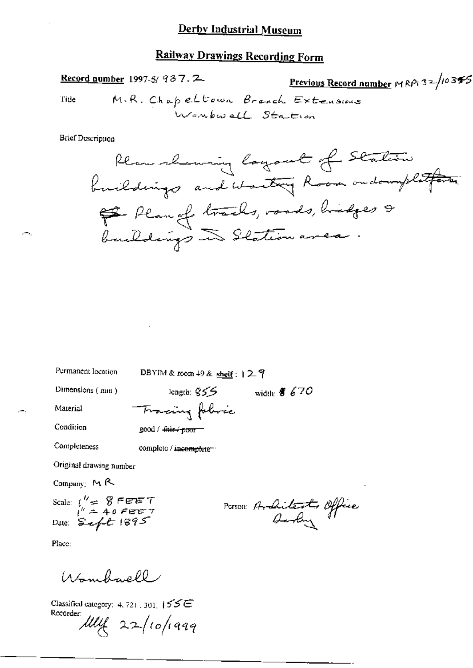<u>Previous Record number</u>  $MRP_132/10355$ Record number 1997-5/937.2 M.R. Chapeltown Branch Extensions Title

**Brief Description** 

Permanent location

DBYIM & room  $49$  & shelf :  $129$ 

Dimensions (mm)

length:  $855$ width:  $$670$ 

Material

Tracing folivie

Condition

 $good / 4$   $div / 1000$ 

Completeness

complete / incomplete"

Original drawing number

Company:  $M R$ 

Scale:  $\int_{1}^{H} = 8$  FEET<br> $\int_{1}^{H} = 40$  FEET<br>Date: Sept 1895

POFSON: Architects Office

Place:

Wombacll

Classified category: 4, 721, 301,  $155E$ 

Recorder lilly 22/10/1999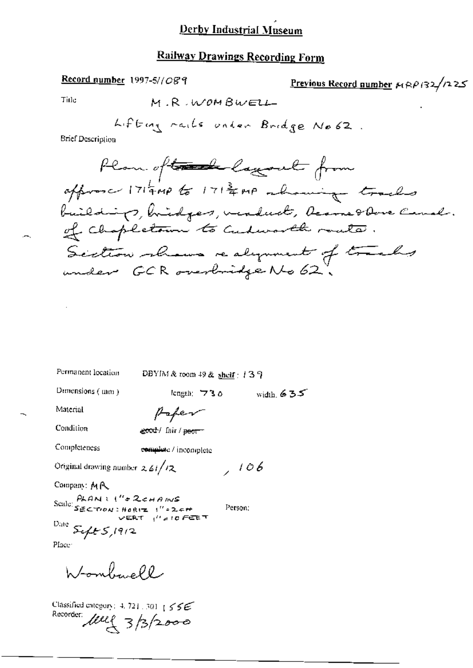# **Railway Drawings Recording Form**

Record number 1997-5//O89

**Previous Record number**  $\mu$ RP132/1225

Tirle

M.R. WOMBWELL

**Brief Description** 

Permanent location

DBYIM & toom 49 & shelf: 139

Dimensions (mm)

width  $635$ length:  $730$ 

Material

Paper

Condition

Completeness

good/fair/peor-

complete / incomplete

Original drawing number  $2.6i / 12$ 

Company: MR

Scale:  $\frac{\rho_{\text{FAM}}}{\rho_{\text{EAM}}}\left(\frac{H_{\text{FALM}}}{H_{\text{BRM}}} - \frac{H_{\text{FALM}}}{H_{\text{FALM}}}\right)$ 

Person;

 $106$ 

Dute  $SefES/19/2$ 

Place:

Wombarell

Classified category: 4, 721, 301 [556] Recorder level 3/3/2000